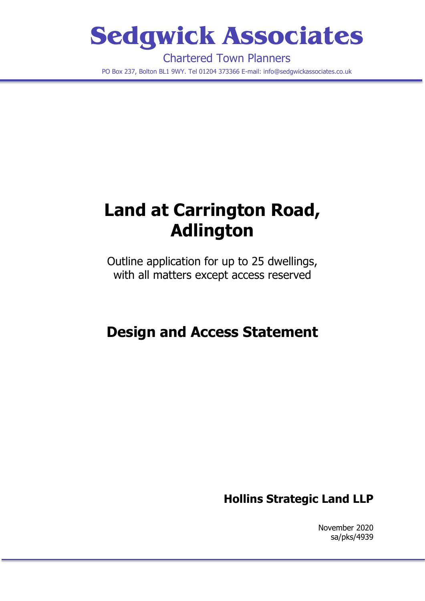# **Sedgwick Associates**

Chartered Town Planners PO Box 237, Bolton BL1 9WY. Tel 01204 373366 E-mail: info@sedgwickassociates.co.uk

## **Land at Carrington Road, Adlington**

Outline application for up to 25 dwellings, with all matters except access reserved

## **Design and Access Statement**

### **Hollins Strategic Land LLP**

November 2020 sa/pks/4939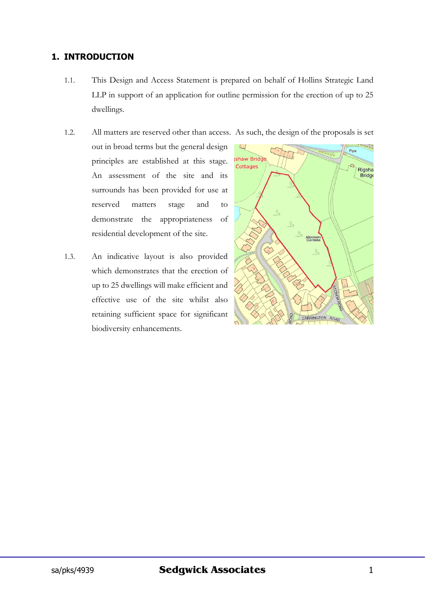#### **1. INTRODUCTION**

1.1. This Design and Access Statement is prepared on behalf of Hollins Strategic Land LLP in support of an application for outline permission for the erection of up to 25 dwellings.

1.2. All matters are reserved other than access. As such, the design of the proposals is set

- out in broad terms but the general design principles are established at this stage. An assessment of the site and its surrounds has been provided for use at reserved matters stage and to demonstrate the appropriateness of residential development of the site.
- 1.3. An indicative layout is also provided which demonstrates that the erection of up to 25 dwellings will make efficient and effective use of the site whilst also retaining sufficient space for significant biodiversity enhancements.

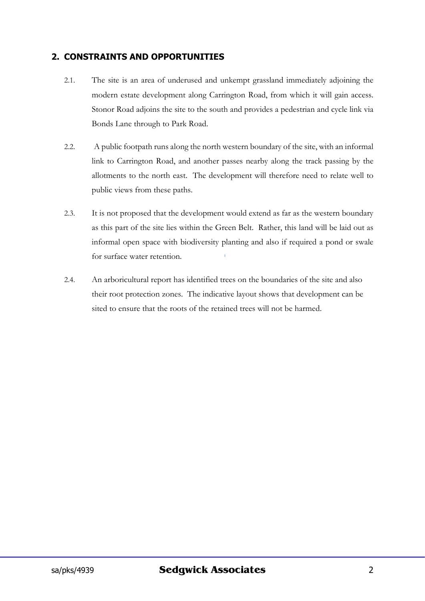#### **2. CONSTRAINTS AND OPPORTUNITIES**

- 2.1. The site is an area of underused and unkempt grassland immediately adjoining the modern estate development along Carrington Road, from which it will gain access. Stonor Road adjoins the site to the south and provides a pedestrian and cycle link via Bonds Lane through to Park Road.
- 2.2. A public footpath runs along the north western boundary of the site, with an informal link to Carrington Road, and another passes nearby along the track passing by the allotments to the north east. The development will therefore need to relate well to public views from these paths.
- 2.3. It is not proposed that the development would extend as far as the western boundary as this part of the site lies within the Green Belt. Rather, this land will be laid out as informal open space with biodiversity planting and also if required a pond or swale for surface water retention.
- 2.4. An arboricultural report has identified trees on the boundaries of the site and also their root protection zones. The indicative layout shows that development can be sited to ensure that the roots of the retained trees will not be harmed.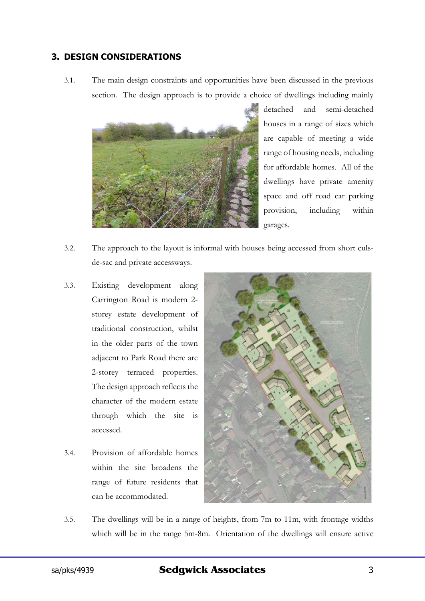#### **3. DESIGN CONSIDERATIONS**

3.1. The main design constraints and opportunities have been discussed in the previous section. The design approach is to provide a choice of dwellings including mainly



detached and semi-detached houses in a range of sizes which are capable of meeting a wide range of housing needs, including for affordable homes. All of the dwellings have private amenity space and off road car parking provision, including within garages.

- 3.2. The approach to the layout is informal with houses being accessed from short culsde-sac and private accessways.
- 3.3. Existing development along Carrington Road is modern 2 storey estate development of traditional construction, whilst in the older parts of the town adjacent to Park Road there are 2-storey terraced properties. The design approach reflects the character of the modern estate through which the site is accessed.
- 3.4. Provision of affordable homes within the site broadens the range of future residents that can be accommodated.



3.5. The dwellings will be in a range of heights, from 7m to 11m, with frontage widths which will be in the range 5m-8m. Orientation of the dwellings will ensure active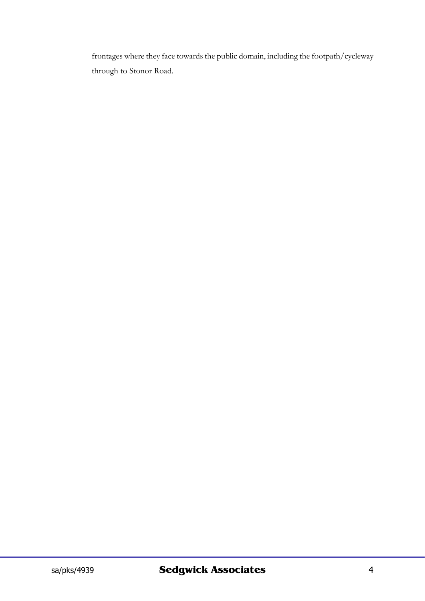frontages where they face towards the public domain, including the footpath/cycleway through to Stonor Road.

 $\hat{\Gamma}$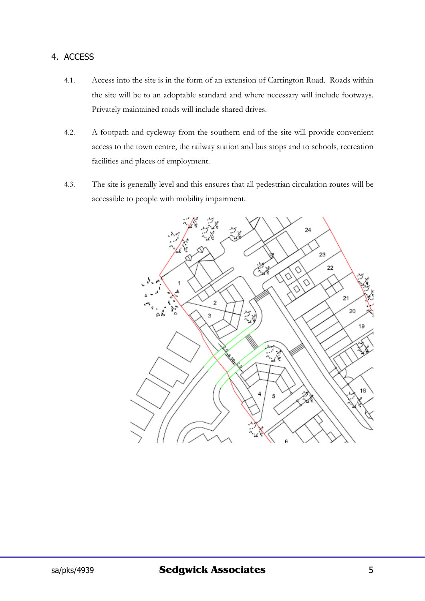#### 4. ACCESS

- 4.1. Access into the site is in the form of an extension of Carrington Road. Roads within the site will be to an adoptable standard and where necessary will include footways. Privately maintained roads will include shared drives.
- 4.2. A footpath and cycleway from the southern end of the site will provide convenient access to the town centre, the railway station and bus stops and to schools, recreation facilities and places of employment.
- 4.3. The site is generally level and this ensures that all pedestrian circulation routes will be accessible to people with mobility impairment.

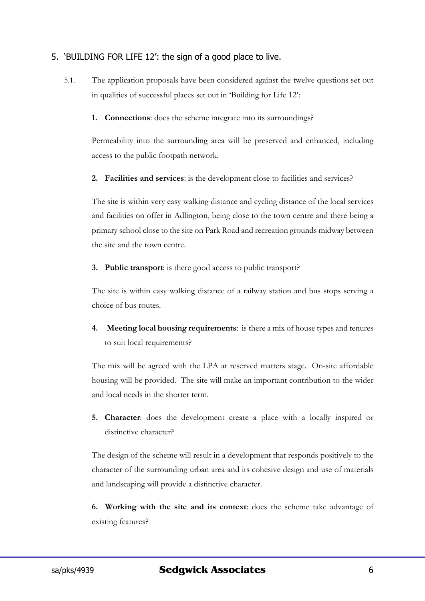#### 5. 'BUILDING FOR LIFE 12': the sign of a good place to live.

- 5.1. The application proposals have been considered against the twelve questions set out in qualities of successful places set out in 'Building for Life 12':
	- **1. Connections**: does the scheme integrate into its surroundings?

Permeability into the surrounding area will be preserved and enhanced, including access to the public footpath network.

**2. Facilities and services**: is the development close to facilities and services?

The site is within very easy walking distance and cycling distance of the local services and facilities on offer in Adlington, being close to the town centre and there being a primary school close to the site on Park Road and recreation grounds midway between the site and the town centre.

**3. Public transport**: is there good access to public transport?

The site is within easy walking distance of a railway station and bus stops serving a choice of bus routes.

**4. Meeting local housing requirements**: is there a mix of house types and tenures to suit local requirements?

The mix will be agreed with the LPA at reserved matters stage. On-site affordable housing will be provided. The site will make an important contribution to the wider and local needs in the shorter term.

**5. Character**: does the development create a place with a locally inspired or distinctive character?

The design of the scheme will result in a development that responds positively to the character of the surrounding urban area and its cohesive design and use of materials and landscaping will provide a distinctive character.

**6. Working with the site and its context**: does the scheme take advantage of existing features?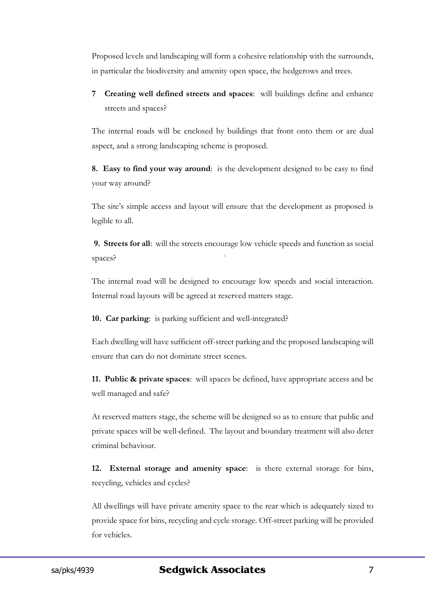Proposed levels and landscaping will form a cohesive relationship with the surrounds, in particular the biodiversity and amenity open space, the hedgerows and trees.

**7 Creating well defined streets and spaces**: will buildings define and enhance streets and spaces?

The internal roads will be enclosed by buildings that front onto them or are dual aspect, and a strong landscaping scheme is proposed.

**8. Easy to find your way around**: is the development designed to be easy to find your way around?

The site's simple access and layout will ensure that the development as proposed is legible to all.

**9. Streets for all**: will the streets encourage low vehicle speeds and function as social spaces?

The internal road will be designed to encourage low speeds and social interaction. Internal road layouts will be agreed at reserved matters stage.

**10. Car parking**: is parking sufficient and well-integrated?

Each dwelling will have sufficient off-street parking and the proposed landscaping will ensure that cars do not dominate street scenes.

**11. Public & private spaces**: will spaces be defined, have appropriate access and be well managed and safe?

At reserved matters stage, the scheme will be designed so as to ensure that public and private spaces will be well-defined. The layout and boundary treatment will also deter criminal behaviour.

**12. External storage and amenity space**: is there external storage for bins, recycling, vehicles and cycles?

All dwellings will have private amenity space to the rear which is adequately sized to provide space for bins, recycling and cycle storage. Off-street parking will be provided for vehicles.